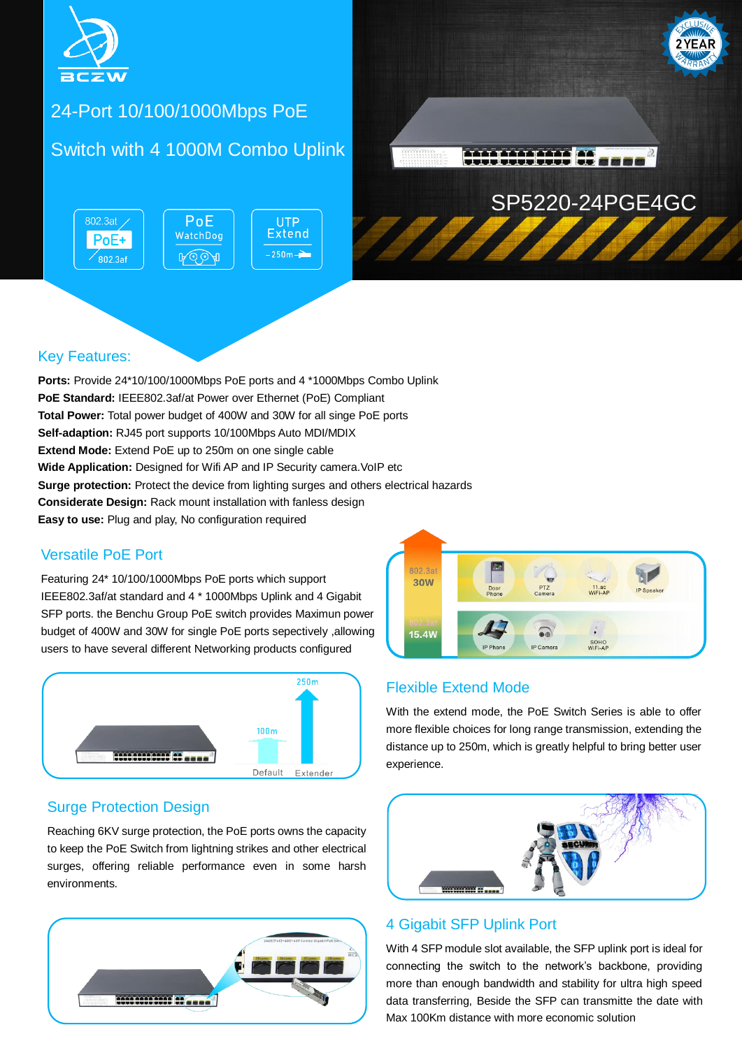



### 24-Port 10/100/1000Mbps PoE

### Switch with 4 1000M Combo Uplink

802.3at  $PoE$ WatchDog PoE+  $-250m -$ ROOA  $\sqrt{802.3}$ af



#### Key Features:

**Ports:** Provide 24\*10/100/1000Mbps PoE ports and 4 \*1000Mbps Combo Uplink **PoE Standard:** IEEE802.3af/at Power over Ethernet (PoE) Compliant **Total Power:** Total power budget of 400W and 30W for all singe PoE ports **Self-adaption:** RJ45 port supports 10/100Mbps Auto MDI/MDIX **Extend Mode:** Extend PoE up to 250m on one single cable **Wide Application:** Designed for Wifi AP and IP Security camera. VoIP etc **Surge protection:** Protect the device from lighting surges and others electrical hazards **Considerate Design:** Rack mount installation with fanless design **Easy to use:** Plug and play, No configuration required

#### Versatile PoE Port

Featuring 24\* 10/100/1000Mbps PoE ports which support IEEE802.3af/at standard and 4 \* 1000Mbps Uplink and 4 Gigabit SFP ports. the Benchu Group PoE switch provides Maximun power budget of 400W and 30W for single PoE ports sepectively ,allowing users to have several different Networking products configured



#### Surge Protection Design

Reaching 6KV surge protection, the PoE ports owns the capacity to keep the PoE Switch from lightning strikes and other electrical surges, offering reliable performance even in some harsh environments.





SP5220-24PGE4GC

#### Flexible Extend Mode

With the extend mode, the PoE Switch Series is able to offer more flexible choices for long range transmission, extending the distance up to 250m, which is greatly helpful to bring better user experience.



#### 4 Gigabit SFP Uplink Port

With 4 SFP module slot available, the SFP uplink port is ideal for connecting the switch to the network's backbone, providing more than enough bandwidth and stability for ultra high speed data transferring, Beside the SFP can transmitte the date with Max 100Km distance with more economic solution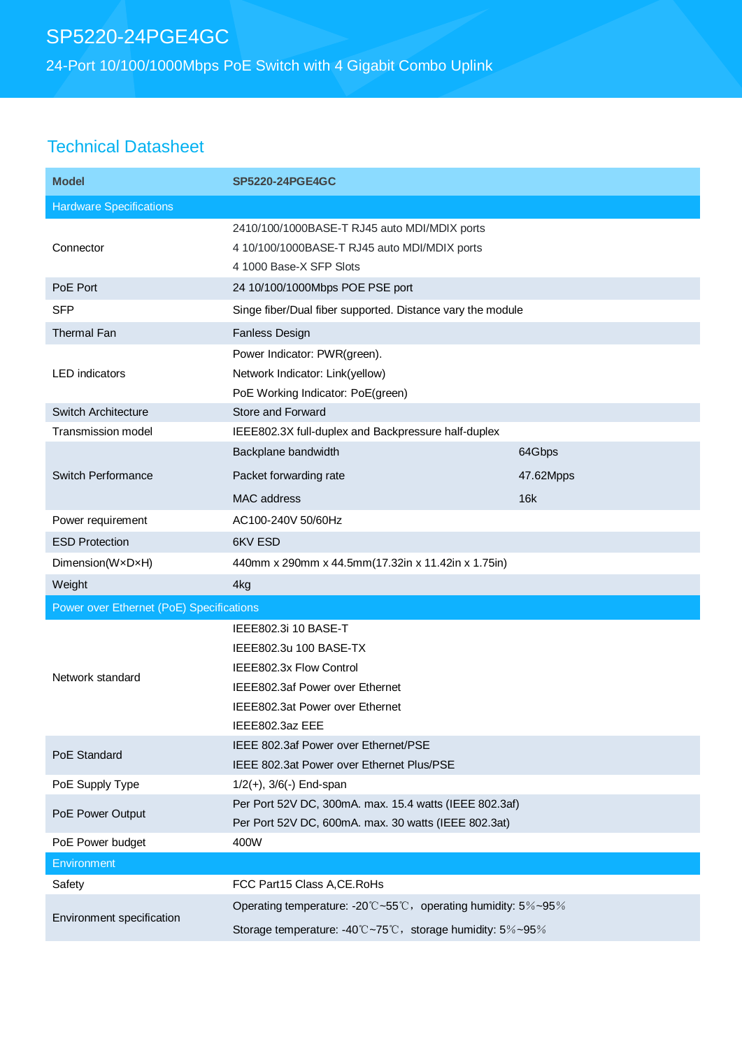24-Port 10/100/1000Mbps PoE Switch with 4 Gigabit Combo Uplink

## Technical Datasheet

| <b>Model</b>                             | <b>SP5220-24PGE4GC</b>                                                                                                                                             |           |  |
|------------------------------------------|--------------------------------------------------------------------------------------------------------------------------------------------------------------------|-----------|--|
| <b>Hardware Specifications</b>           |                                                                                                                                                                    |           |  |
| Connector                                | 2410/100/1000BASE-T RJ45 auto MDI/MDIX ports<br>4 10/100/1000BASE-T RJ45 auto MDI/MDIX ports<br>4 1000 Base-X SFP Slots                                            |           |  |
| PoE Port                                 | 24 10/100/1000Mbps POE PSE port                                                                                                                                    |           |  |
| <b>SFP</b>                               | Singe fiber/Dual fiber supported. Distance vary the module                                                                                                         |           |  |
| <b>Thermal Fan</b>                       | <b>Fanless Design</b>                                                                                                                                              |           |  |
| <b>LED</b> indicators                    | Power Indicator: PWR(green).<br>Network Indicator: Link(yellow)<br>PoE Working Indicator: PoE(green)                                                               |           |  |
| <b>Switch Architecture</b>               | Store and Forward                                                                                                                                                  |           |  |
| <b>Transmission model</b>                | IEEE802.3X full-duplex and Backpressure half-duplex<br>Backplane bandwidth                                                                                         | 64Gbps    |  |
| Switch Performance                       | Packet forwarding rate                                                                                                                                             | 47.62Mpps |  |
|                                          | MAC address                                                                                                                                                        | 16k       |  |
| Power requirement                        | AC100-240V 50/60Hz                                                                                                                                                 |           |  |
| <b>ESD Protection</b>                    | 6KV ESD                                                                                                                                                            |           |  |
| Dimension(WxDxH)                         | 440mm x 290mm x 44.5mm(17.32in x 11.42in x 1.75in)                                                                                                                 |           |  |
| Weight                                   | 4kg                                                                                                                                                                |           |  |
| Power over Ethernet (PoE) Specifications |                                                                                                                                                                    |           |  |
| Network standard                         | IEEE802.3i 10 BASE-T<br>IEEE802.3u 100 BASE-TX<br>IEEE802.3x Flow Control<br>IEEE802.3af Power over Ethernet<br>IEEE802.3at Power over Ethernet<br>IEEE802.3az EEE |           |  |
| PoE Standard                             | IEEE 802.3af Power over Ethernet/PSE<br>IEEE 802.3at Power over Ethernet Plus/PSE                                                                                  |           |  |
| PoE Supply Type                          | $1/2(+)$ , $3/6(-)$ End-span                                                                                                                                       |           |  |
| PoE Power Output                         | Per Port 52V DC, 300mA. max. 15.4 watts (IEEE 802.3af)<br>Per Port 52V DC, 600mA. max. 30 watts (IEEE 802.3at)                                                     |           |  |
| PoE Power budget                         | 400W                                                                                                                                                               |           |  |
| Environment                              |                                                                                                                                                                    |           |  |
| Safety                                   | FCC Part15 Class A, CE. RoHs                                                                                                                                       |           |  |
| Environment specification                | Operating temperature: -20°C~55°C, operating humidity: 5%~95%<br>Storage temperature: -40°C~75°C, storage humidity: 5%~95%                                         |           |  |